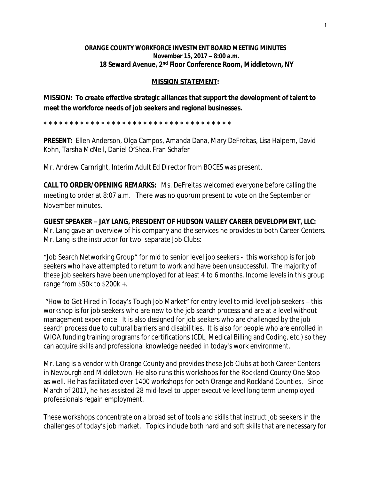## **ORANGE COUNTY WORKFORCE INVESTMENT BOARD MEETING MINUTES November 15, 2017 – 8:00 a.m. 18 Seward Avenue, 2nd Floor Conference Room, Middletown, NY**

## **MISSION STATEMENT:**

**MISSION: To create effective strategic alliances that support the development of talent to meet the workforce needs of job seekers and regional businesses.**

**\* \* \* \* \* \* \* \* \* \* \* \* \* \* \* \* \* \* \* \* \* \* \* \* \* \* \* \* \* \* \* \* \* \* \* \*** 

**PRESENT:** Ellen Anderson, Olga Campos, Amanda Dana, Mary DeFreitas, Lisa Halpern, David Kohn, Tarsha McNeil, Daniel O'Shea, Fran Schafer

Mr. Andrew Carnright, Interim Adult Ed Director from BOCES was present.

**CALL TO ORDER/OPENING REMARKS:** Ms. DeFreitas welcomed everyone before calling the meeting to order at 8:07 a.m. There was no quorum present to vote on the September or November minutes.

**GUEST SPEAKER – JAY LANG, PRESIDENT OF HUDSON VALLEY CAREER DEVELOPMENT, LLC:** Mr. Lang gave an overview of his company and the services he provides to both Career Centers. Mr. Lang is the instructor for two separate Job Clubs:

"Job Search Networking Group" for mid to senior level job seekers - this workshop is for job seekers who have attempted to return to work and have been unsuccessful. The majority of these job seekers have been unemployed for at least 4 to 6 months. Income levels in this group range from \$50k to \$200k +.

"How to Get Hired in Today's Tough Job Market" for entry level to mid-level job seekers – this workshop is for job seekers who are new to the job search process and are at a level without management experience. It is also designed for job seekers who are challenged by the job search process due to cultural barriers and disabilities. It is also for people who are enrolled in WIOA funding training programs for certifications (CDL, Medical Billing and Coding, etc.) so they can acquire skills and professional knowledge needed in today's work environment.

Mr. Lang is a vendor with Orange County and provides these Job Clubs at both Career Centers in Newburgh and Middletown. He also runs this workshops for the Rockland County One Stop as well. He has facilitated over 1400 workshops for both Orange and Rockland Counties. Since March of 2017, he has assisted 28 mid-level to upper executive level long term unemployed professionals regain employment.

These workshops concentrate on a broad set of tools and skills that instruct job seekers in the challenges of today's job market. Topics include both hard and soft skills that are necessary for